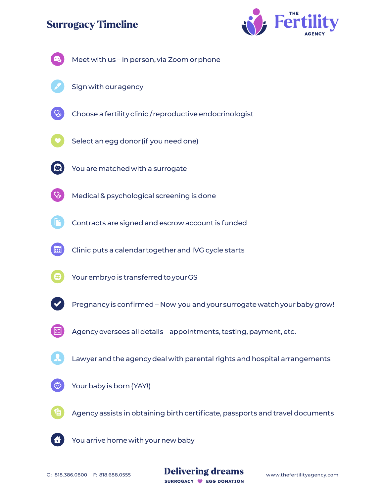# **Surrogacy Timeline**





O: 818.386.0800 F: 818.688.0555 **Delivering dreams** www.thefertilityagency.com SURROGACY C EGG DONATION